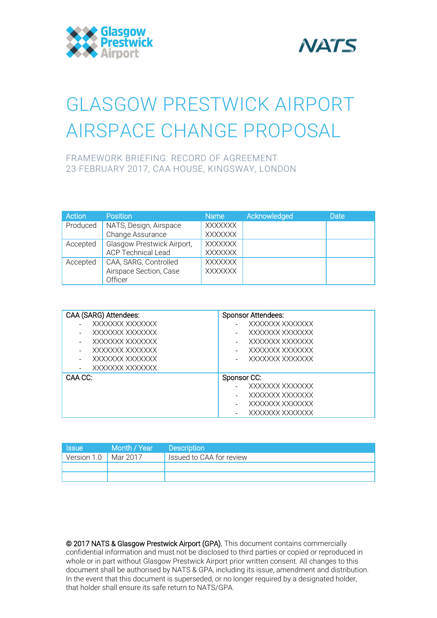



# GLASGOW PRESTWICK AIRPORT AIRSPACE CHANGE PROPOSAL

FRAMEWORK BRIEFING: RECORD OF AGREEMENT 23 FEBRUARY 2017, CAA HOUSE, KINGSWAY, LONDON

| Action   | <b>Position</b>            | Name           | Acknowledged | <b>Date</b> |
|----------|----------------------------|----------------|--------------|-------------|
| Produced | NATS, Design, Airspace     | <b>XXXXXXX</b> |              |             |
|          | Change Assurance           | <b>XXXXXXX</b> |              |             |
| Accepted | Glasgow Prestwick Airport, | XXXXXXX        |              |             |
|          | <b>ACP Technical Lead</b>  | <b>XXXXXXX</b> |              |             |
| Accepted | CAA, SARG, Controlled      | <b>XXXXXXX</b> |              |             |
|          | Airspace Section, Case     | <b>XXXXXXX</b> |              |             |
|          | Officer                    |                |              |             |

| CAA (SARG) Attendees: | <b>Sponsor Attendees:</b> |
|-----------------------|---------------------------|
| XXXXXXX XXXXXXX       | XXXXXXX XXXXXXX           |
| XXXXXXX XXXXXXX       | XXXXXXX XXXXXXX           |
| XXXXXXX XXXXXXX       | XXXXXXX XXXXXXX           |
| XXXXXXX XXXXXXX       | XXXXXXX XXXXXXX           |
| XXXXXXX XXXXXXX       | XXXXXXX XXXXXXX           |
| XXXXXXX XXXXXXX       |                           |
| CAA CC:               | Sponsor CC:               |
|                       | XXXXXXX XXXXXXX           |
|                       | XXXXXXX XXXXXXX           |
|                       | XXXXXXX XXXXXXX           |
|                       | XXXXXXX XXXXXXX           |

| <b>Issue</b> | Month / Year | <b>Description</b>       |
|--------------|--------------|--------------------------|
| Version 1.0  | Mar 2017     | Issued to CAA for review |
|              |              |                          |
|              |              |                          |

© 2017 NATS & Glasgow Prestwick Airport (GPA). This document contains commercially confidential information and must not be disclosed to third parties or copied or reproduced in whole or in part without Glasgow Prestwick Airport prior written consent. All changes to this document shall be authorised by NATS & GPA, including its issue, amendment and distribution. In the event that this document is superseded, or no longer required by a designated holder, that holder shall ensure its safe return to NATS/GPA.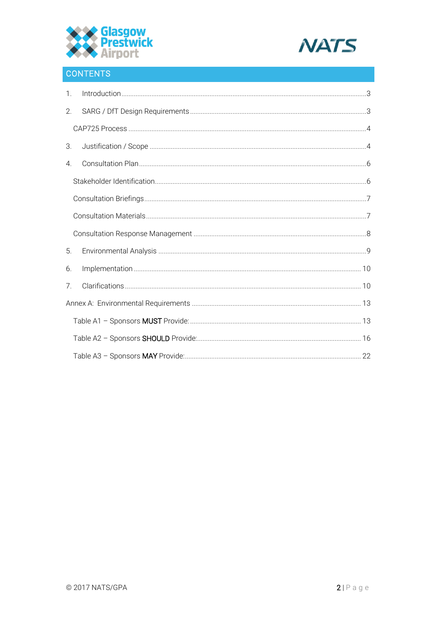



# CONTENTS

| $1_{\cdot}$ |  |
|-------------|--|
| 2.          |  |
|             |  |
| 3.          |  |
| 4.          |  |
|             |  |
|             |  |
|             |  |
|             |  |
| 5.          |  |
| 6.          |  |
| 7.          |  |
|             |  |
|             |  |
|             |  |
|             |  |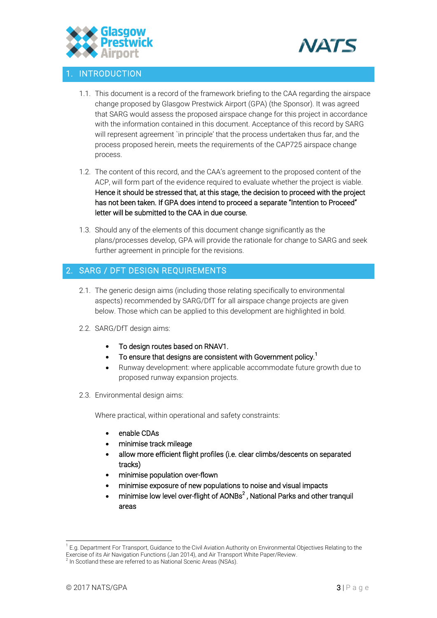



# <span id="page-2-0"></span>**INTRODUCTION**

- 1.1. This document is a record of the framework briefing to the CAA regarding the airspace change proposed by Glasgow Prestwick Airport (GPA) (the Sponsor). It was agreed that SARG would assess the proposed airspace change for this project in accordance with the information contained in this document. Acceptance of this record by SARG will represent agreement `in principle' that the process undertaken thus far, and the process proposed herein, meets the requirements of the CAP725 airspace change process.
- 1.2. The content of this record, and the CAA's agreement to the proposed content of the ACP, will form part of the evidence required to evaluate whether the project is viable. Hence it should be stressed that, at this stage, the decision to proceed with the project has not been taken. If GPA does intend to proceed a separate "Intention to Proceed" letter will be submitted to the CAA in due course.
- 1.3. Should any of the elements of this document change significantly as the plans/processes develop, GPA will provide the rationale for change to SARG and seek further agreement in principle for the revisions.

# <span id="page-2-1"></span>2. SARG / DFT DESIGN REQUIREMENTS

- 2.1. The generic design aims (including those relating specifically to environmental aspects) recommended by SARG/DfT for all airspace change projects are given below. Those which can be applied to this development are highlighted in bold.
- 2.2. SARG/DfT design aims:
	- To design routes based on RNAV1.
	- $\bullet$  To ensure that designs are consistent with Government policy.<sup>1</sup>
	- Runway development: where applicable accommodate future growth due to proposed runway expansion projects.
- 2.3. Environmental design aims:

Where practical, within operational and safety constraints:

- enable CDAs
- minimise track mileage
- allow more efficient flight profiles (i.e. clear climbs/descents on separated tracks)
- minimise population over-flown
- minimise exposure of new populations to noise and visual impacts
- $\bullet$  minimise low level over-flight of AONBs<sup>2</sup>, National Parks and other tranquil areas

 $\overline{a}$ 

<sup>&</sup>lt;sup>1</sup> E.g. Department For Transport, Guidance to the Civil Aviation Authority on Environmental Objectives Relating to the Exercise of its Air Navigation Functions (Jan 2014), and Air Transport White Paper/Review.<br><sup>2</sup> In Scotland these are referred to as National Scenic Areas (NSAs).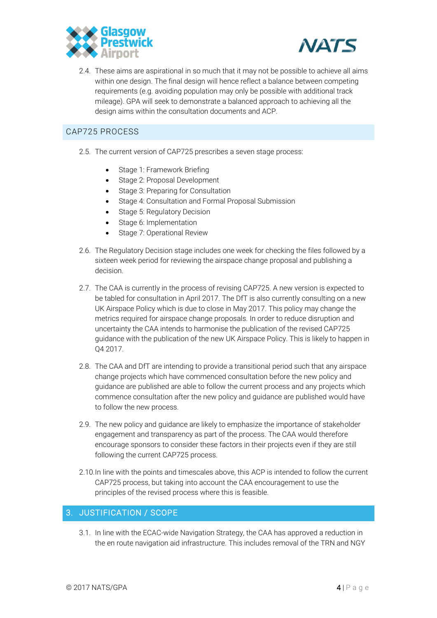



2.4. These aims are aspirational in so much that it may not be possible to achieve all aims within one design. The final design will hence reflect a balance between competing requirements (e.g. avoiding population may only be possible with additional track mileage). GPA will seek to demonstrate a balanced approach to achieving all the design aims within the consultation documents and ACP.

# <span id="page-3-0"></span>CAP725 PROCESS

- 2.5. The current version of CAP725 prescribes a seven stage process:
	- Stage 1: Framework Briefing
	- Stage 2: Proposal Development
	- Stage 3: Preparing for Consultation
	- Stage 4: Consultation and Formal Proposal Submission
	- Stage 5: Regulatory Decision
	- Stage 6: Implementation
	- Stage 7: Operational Review
- 2.6. The Regulatory Decision stage includes one week for checking the files followed by a sixteen week period for reviewing the airspace change proposal and publishing a decision.
- 2.7. The CAA is currently in the process of revising CAP725. A new version is expected to be tabled for consultation in April 2017. The DfT is also currently consulting on a new UK Airspace Policy which is due to close in May 2017. This policy may change the metrics required for airspace change proposals. In order to reduce disruption and uncertainty the CAA intends to harmonise the publication of the revised CAP725 guidance with the publication of the new UK Airspace Policy. This is likely to happen in Q4 2017.
- 2.8. The CAA and DfT are intending to provide a transitional period such that any airspace change projects which have commenced consultation before the new policy and guidance are published are able to follow the current process and any projects which commence consultation after the new policy and guidance are published would have to follow the new process.
- 2.9. The new policy and guidance are likely to emphasize the importance of stakeholder engagement and transparency as part of the process. The CAA would therefore encourage sponsors to consider these factors in their projects even if they are still following the current CAP725 process.
- 2.10.In line with the points and timescales above, this ACP is intended to follow the current CAP725 process, but taking into account the CAA encouragement to use the principles of the revised process where this is feasible.

# <span id="page-3-1"></span>3. JUSTIFICATION / SCOPE

3.1. In line with the ECAC-wide Navigation Strategy, the CAA has approved a reduction in the en route navigation aid infrastructure. This includes removal of the TRN and NGY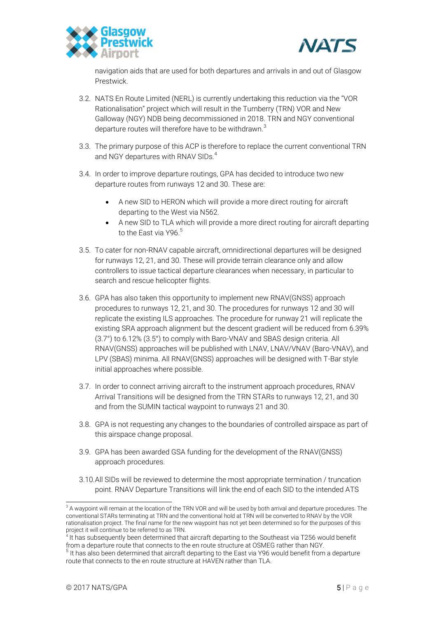



navigation aids that are used for both departures and arrivals in and out of Glasgow Prestwick.

- 3.2. NATS En Route Limited (NERL) is currently undertaking this reduction via the "VOR Rationalisation" project which will result in the Turnberry (TRN) VOR and New Galloway (NGY) NDB being decommissioned in 2018. TRN and NGY conventional departure routes will therefore have to be withdrawn.<sup>3</sup>
- 3.3. The primary purpose of this ACP is therefore to replace the current conventional TRN and NGY departures with RNAV SIDs.<sup>4</sup>
- 3.4. In order to improve departure routings, GPA has decided to introduce two new departure routes from runways 12 and 30. These are:
	- A new SID to HERON which will provide a more direct routing for aircraft departing to the West via N562.
	- A new SID to TLA which will provide a more direct routing for aircraft departing to the East via Y96.<sup>5</sup>
- 3.5. To cater for non-RNAV capable aircraft, omnidirectional departures will be designed for runways 12, 21, and 30. These will provide terrain clearance only and allow controllers to issue tactical departure clearances when necessary, in particular to search and rescue helicopter flights.
- 3.6. GPA has also taken this opportunity to implement new RNAV(GNSS) approach procedures to runways 12, 21, and 30. The procedures for runways 12 and 30 will replicate the existing ILS approaches. The procedure for runway 21 will replicate the existing SRA approach alignment but the descent gradient will be reduced from 6.39% (3.7°) to 6.12% (3.5°) to comply with Baro-VNAV and SBAS design criteria. All RNAV(GNSS) approaches will be published with LNAV, LNAV/VNAV (Baro-VNAV), and LPV (SBAS) minima. All RNAV(GNSS) approaches will be designed with T-Bar style initial approaches where possible.
- 3.7. In order to connect arriving aircraft to the instrument approach procedures, RNAV Arrival Transitions will be designed from the TRN STARs to runways 12, 21, and 30 and from the SUMIN tactical waypoint to runways 21 and 30.
- 3.8. GPA is not requesting any changes to the boundaries of controlled airspace as part of this airspace change proposal.
- 3.9. GPA has been awarded GSA funding for the development of the RNAV(GNSS) approach procedures.
- 3.10.All SIDs will be reviewed to determine the most appropriate termination / truncation point. RNAV Departure Transitions will link the end of each SID to the intended ATS

 $\overline{a}$  $3$  A waypoint will remain at the location of the TRN VOR and will be used by both arrival and departure procedures. The conventional STARs terminating at TRN and the conventional hold at TRN will be converted to RNAV by the VOR rationalisation project. The final name for the new waypoint has not yet been determined so for the purposes of this project it will continue to be referred to as TRN.

<sup>4</sup> It has subsequently been determined that aircraft departing to the Southeast via T256 would benefit from a departure route that connects to the en route structure at OSMEG rather than NGY.

<sup>&</sup>lt;sup>5</sup> It has also been determined that aircraft departing to the East via Y96 would benefit from a departure route that connects to the en route structure at HAVEN rather than TLA.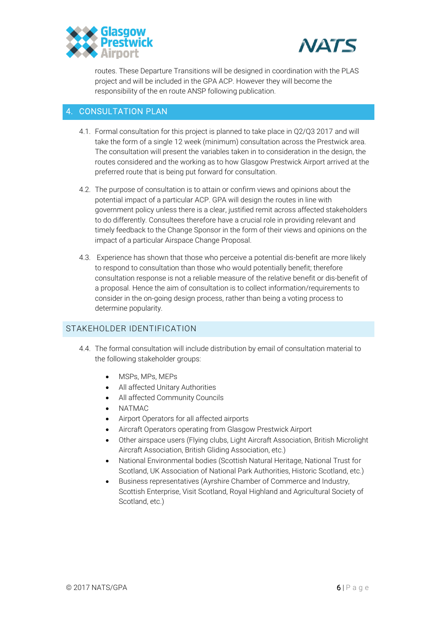



routes. These Departure Transitions will be designed in coordination with the PLAS project and will be included in the GPA ACP. However they will become the responsibility of the en route ANSP following publication.

#### <span id="page-5-0"></span>4. CONSULTATION PLAN

- 4.1. Formal consultation for this project is planned to take place in Q2/Q3 2017 and will take the form of a single 12 week (minimum) consultation across the Prestwick area. The consultation will present the variables taken in to consideration in the design, the routes considered and the working as to how Glasgow Prestwick Airport arrived at the preferred route that is being put forward for consultation.
- 4.2. The purpose of consultation is to attain or confirm views and opinions about the potential impact of a particular ACP. GPA will design the routes in line with government policy unless there is a clear, justified remit across affected stakeholders to do differently. Consultees therefore have a crucial role in providing relevant and timely feedback to the Change Sponsor in the form of their views and opinions on the impact of a particular Airspace Change Proposal.
- 4.3. Experience has shown that those who perceive a potential dis-benefit are more likely to respond to consultation than those who would potentially benefit; therefore consultation response is not a reliable measure of the relative benefit or dis-benefit of a proposal. Hence the aim of consultation is to collect information/requirements to consider in the on-going design process, rather than being a voting process to determine popularity.

# <span id="page-5-1"></span>STAKEHOLDER IDENTIFICATION

- 4.4. The formal consultation will include distribution by email of consultation material to the following stakeholder groups:
	- MSPs, MPs, MEPs
	- All affected Unitary Authorities
	- All affected Community Councils
	- NATMAC
	- Airport Operators for all affected airports
	- Aircraft Operators operating from Glasgow Prestwick Airport
	- Other airspace users (Flying clubs, Light Aircraft Association, British Microlight Aircraft Association, British Gliding Association, etc.)
	- National Environmental bodies (Scottish Natural Heritage, National Trust for Scotland, UK Association of National Park Authorities, Historic Scotland, etc.)
	- Business representatives (Ayrshire Chamber of Commerce and Industry, Scottish Enterprise, Visit Scotland, Royal Highland and Agricultural Society of Scotland, etc.)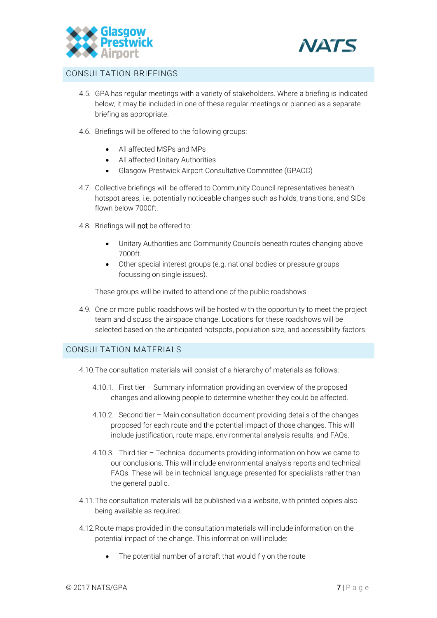



#### <span id="page-6-0"></span>CONSULTATION BRIEFINGS

- 4.5. GPA has regular meetings with a variety of stakeholders. Where a briefing is indicated below, it may be included in one of these regular meetings or planned as a separate briefing as appropriate.
- 4.6. Briefings will be offered to the following groups:
	- All affected MSPs and MPs
	- All affected Unitary Authorities
	- Glasgow Prestwick Airport Consultative Committee (GPACC)
- 4.7. Collective briefings will be offered to Community Council representatives beneath hotspot areas, i.e. potentially noticeable changes such as holds, transitions, and SIDs flown below 7000ft.
- 4.8. Briefings will not be offered to:
	- Unitary Authorities and Community Councils beneath routes changing above 7000ft.
	- Other special interest groups (e.g. national bodies or pressure groups focussing on single issues).

These groups will be invited to attend one of the public roadshows.

4.9. One or more public roadshows will be hosted with the opportunity to meet the project team and discuss the airspace change. Locations for these roadshows will be selected based on the anticipated hotspots, population size, and accessibility factors.

#### <span id="page-6-1"></span>CONSULTATION MATERIALS

- 4.10.The consultation materials will consist of a hierarchy of materials as follows:
	- 4.10.1. First tier Summary information providing an overview of the proposed changes and allowing people to determine whether they could be affected.
	- 4.10.2. Second tier Main consultation document providing details of the changes proposed for each route and the potential impact of those changes. This will include justification, route maps, environmental analysis results, and FAQs.
	- 4.10.3. Third tier Technical documents providing information on how we came to our conclusions. This will include environmental analysis reports and technical FAQs. These will be in technical language presented for specialists rather than the general public.
- 4.11.The consultation materials will be published via a website, with printed copies also being available as required.
- 4.12.Route maps provided in the consultation materials will include information on the potential impact of the change. This information will include:
	- The potential number of aircraft that would fly on the route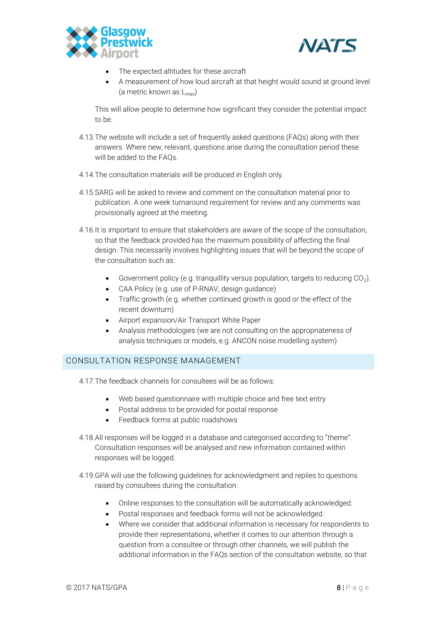



- The expected altitudes for these aircraft
- A measurement of how loud aircraft at that height would sound at ground level (a metric known as  $L_{\text{max}}$ )

This will allow people to determine how significant they consider the potential impact to be.

- 4.13.The website will include a set of frequently asked questions (FAQs) along with their answers. Where new, relevant, questions arise during the consultation period these will be added to the FAQs.
- 4.14.The consultation materials will be produced in English only.
- 4.15.SARG will be asked to review and comment on the consultation material prior to publication. A one week turnaround requirement for review and any comments was provisionally agreed at the meeting.
- 4.16.It is important to ensure that stakeholders are aware of the scope of the consultation, so that the feedback provided has the maximum possibility of affecting the final design. This necessarily involves highlighting issues that will be beyond the scope of the consultation such as:
	- Government policy (e.g. tranquillity versus population, targets to reducing  $CO<sub>2</sub>$ ).
	- CAA Policy (e.g. use of P-RNAV, design guidance)
	- Traffic growth (e.g. whether continued growth is good or the effect of the recent downturn)
	- Airport expansion/Air Transport White Paper
	- Analysis methodologies (we are not consulting on the appropriateness of analysis techniques or models, e.g. ANCON noise modelling system)

#### <span id="page-7-0"></span>CONSULTATION RESPONSE MANAGEMENT

4.17.The feedback channels for consultees will be as follows:

- Web based questionnaire with multiple choice and free text entry
- Postal address to be provided for postal response
- Feedback forms at public roadshows
- 4.18.All responses will be logged in a database and categorised according to "theme". Consultation responses will be analysed and new information contained within responses will be logged.
- 4.19.GPA will use the following guidelines for acknowledgment and replies to questions raised by consultees during the consultation:
	- Online responses to the consultation will be automatically acknowledged.
	- Postal responses and feedback forms will not be acknowledged.
	- Where we consider that additional information is necessary for respondents to provide their representations, whether it comes to our attention through a question from a consultee or through other channels, we will publish the additional information in the FAQs section of the consultation website, so that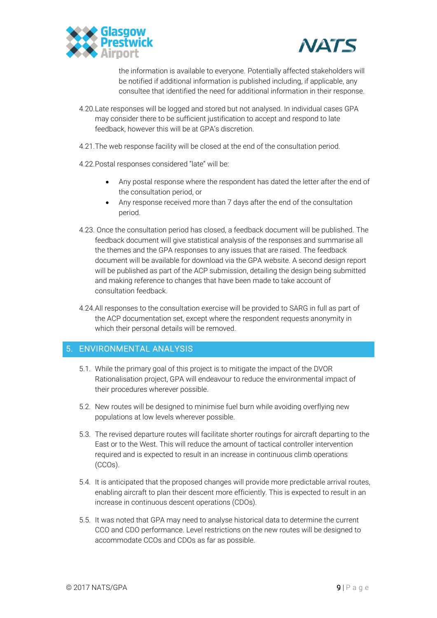



the information is available to everyone. Potentially affected stakeholders will be notified if additional information is published including, if applicable, any consultee that identified the need for additional information in their response.

- 4.20.Late responses will be logged and stored but not analysed. In individual cases GPA may consider there to be sufficient justification to accept and respond to late feedback, however this will be at GPA's discretion.
- 4.21.The web response facility will be closed at the end of the consultation period.
- 4.22.Postal responses considered "late" will be:
	- Any postal response where the respondent has dated the letter after the end of the consultation period, or
	- Any response received more than 7 days after the end of the consultation period.
- 4.23. Once the consultation period has closed, a feedback document will be published. The feedback document will give statistical analysis of the responses and summarise all the themes and the GPA responses to any issues that are raised. The feedback document will be available for download via the GPA website. A second design report will be published as part of the ACP submission, detailing the design being submitted and making reference to changes that have been made to take account of consultation feedback.
- 4.24.All responses to the consultation exercise will be provided to SARG in full as part of the ACP documentation set, except where the respondent requests anonymity in which their personal details will be removed.

# <span id="page-8-0"></span>5. ENVIRONMENTAL ANALYSIS

- 5.1. While the primary goal of this project is to mitigate the impact of the DVOR Rationalisation project, GPA will endeavour to reduce the environmental impact of their procedures wherever possible.
- 5.2. New routes will be designed to minimise fuel burn while avoiding overflying new populations at low levels wherever possible.
- 5.3. The revised departure routes will facilitate shorter routings for aircraft departing to the East or to the West. This will reduce the amount of tactical controller intervention required and is expected to result in an increase in continuous climb operations (CCOs).
- 5.4. It is anticipated that the proposed changes will provide more predictable arrival routes, enabling aircraft to plan their descent more efficiently. This is expected to result in an increase in continuous descent operations (CDOs).
- 5.5. It was noted that GPA may need to analyse historical data to determine the current CCO and CDO performance. Level restrictions on the new routes will be designed to accommodate CCOs and CDOs as far as possible.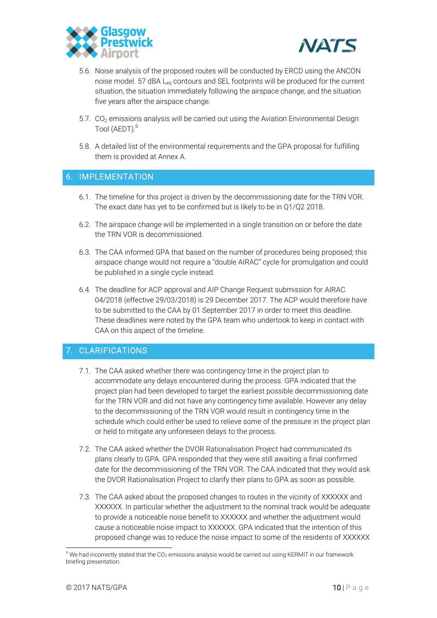



- 5.6. Noise analysis of the proposed routes will be conducted by ERCD using the ANCON noise model. 57 dBA L<sub>eq</sub> contours and SEL footprints will be produced for the current situation, the situation immediately following the airspace change, and the situation five years after the airspace change.
- 5.7.  $CO<sub>2</sub>$  emissions analysis will be carried out using the Aviation Environmental Design Tool (AEDT).<sup>6</sup>
- 5.8. A detailed list of the environmental requirements and the GPA proposal for fulfilling them is provided at Annex A.

#### <span id="page-9-0"></span>6. IMPLEMENTATION

- 6.1. The timeline for this project is driven by the decommissioning date for the TRN VOR. The exact date has yet to be confirmed but is likely to be in Q1/Q2 2018.
- 6.2. The airspace change will be implemented in a single transition on or before the date the TRN VOR is decommissioned.
- 6.3. The CAA informed GPA that based on the number of procedures being proposed; this airspace change would not require a "double AIRAC" cycle for promulgation and could be published in a single cycle instead.
- 6.4. The deadline for ACP approval and AIP Change Request submission for AIRAC 04/2018 (effective 29/03/2018) is 29 December 2017. The ACP would therefore have to be submitted to the CAA by 01 September 2017 in order to meet this deadline. These deadlines were noted by the GPA team who undertook to keep in contact with CAA on this aspect of the timeline.

# <span id="page-9-1"></span>7. CLARIFICATIONS

- 7.1. The CAA asked whether there was contingency time in the project plan to accommodate any delays encountered during the process. GPA indicated that the project plan had been developed to target the earliest possible decommissioning date for the TRN VOR and did not have any contingency time available. However any delay to the decommissioning of the TRN VOR would result in contingency time in the schedule which could either be used to relieve some of the pressure in the project plan or held to mitigate any unforeseen delays to the process.
- 7.2. The CAA asked whether the DVOR Rationalisation Project had communicated its plans clearly to GPA. GPA responded that they were still awaiting a final confirmed date for the decommissioning of the TRN VOR. The CAA indicated that they would ask the DVOR Rationalisation Project to clarify their plans to GPA as soon as possible.
- 7.3. The CAA asked about the proposed changes to routes in the vicinity of XXXXXX and XXXXXX. In particular whether the adjustment to the nominal track would be adequate to provide a noticeable noise benefit to XXXXXX and whether the adjustment would cause a noticeable noise impact to XXXXXX. GPA indicated that the intention of this proposed change was to reduce the noise impact to some of the residents of XXXXXX

 $\overline{a}$ 

 $6$  We had incorrectly stated that the CO<sub>2</sub> emissions analysis would be carried out using KERMIT in our framework briefing presentation.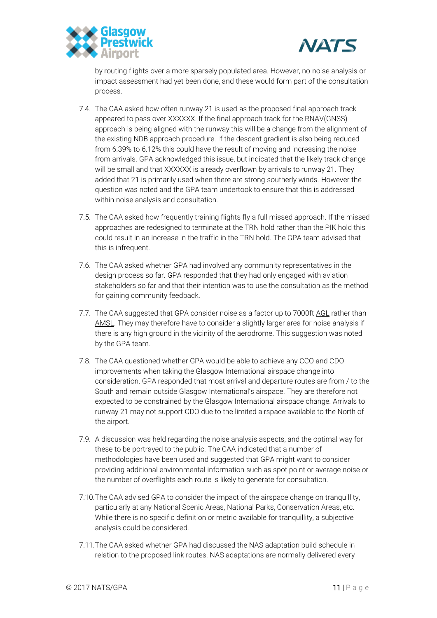



by routing flights over a more sparsely populated area. However, no noise analysis or impact assessment had yet been done, and these would form part of the consultation process.

- 7.4. The CAA asked how often runway 21 is used as the proposed final approach track appeared to pass over XXXXXX. If the final approach track for the RNAV(GNSS) approach is being aligned with the runway this will be a change from the alignment of the existing NDB approach procedure. If the descent gradient is also being reduced from 6.39% to 6.12% this could have the result of moving and increasing the noise from arrivals. GPA acknowledged this issue, but indicated that the likely track change will be small and that XXXXXX is already overflown by arrivals to runway 21. They added that 21 is primarily used when there are strong southerly winds. However the question was noted and the GPA team undertook to ensure that this is addressed within noise analysis and consultation.
- 7.5. The CAA asked how frequently training flights fly a full missed approach. If the missed approaches are redesigned to terminate at the TRN hold rather than the PIK hold this could result in an increase in the traffic in the TRN hold. The GPA team advised that this is infrequent.
- 7.6. The CAA asked whether GPA had involved any community representatives in the design process so far. GPA responded that they had only engaged with aviation stakeholders so far and that their intention was to use the consultation as the method for gaining community feedback.
- 7.7. The CAA suggested that GPA consider noise as a factor up to 7000ft AGL rather than AMSL. They may therefore have to consider a slightly larger area for noise analysis if there is any high ground in the vicinity of the aerodrome. This suggestion was noted by the GPA team.
- 7.8. The CAA questioned whether GPA would be able to achieve any CCO and CDO improvements when taking the Glasgow International airspace change into consideration. GPA responded that most arrival and departure routes are from / to the South and remain outside Glasgow International's airspace. They are therefore not expected to be constrained by the Glasgow International airspace change. Arrivals to runway 21 may not support CDO due to the limited airspace available to the North of the airport.
- 7.9. A discussion was held regarding the noise analysis aspects, and the optimal way for these to be portrayed to the public. The CAA indicated that a number of methodologies have been used and suggested that GPA might want to consider providing additional environmental information such as spot point or average noise or the number of overflights each route is likely to generate for consultation.
- 7.10.The CAA advised GPA to consider the impact of the airspace change on tranquillity, particularly at any National Scenic Areas, National Parks, Conservation Areas, etc. While there is no specific definition or metric available for tranquillity, a subjective analysis could be considered.
- 7.11.The CAA asked whether GPA had discussed the NAS adaptation build schedule in relation to the proposed link routes. NAS adaptations are normally delivered every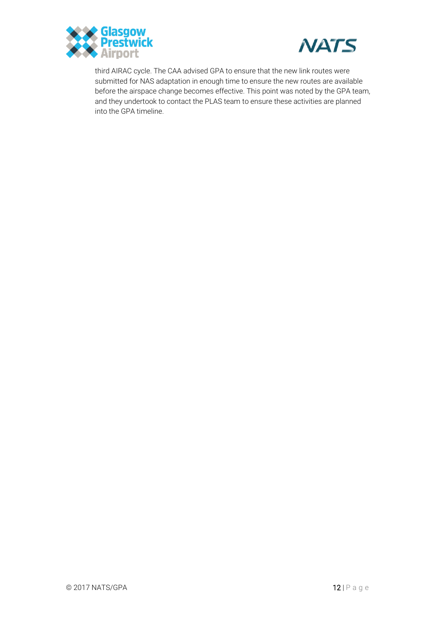



third AIRAC cycle. The CAA advised GPA to ensure that the new link routes were submitted for NAS adaptation in enough time to ensure the new routes are available before the airspace change becomes effective. This point was noted by the GPA team, and they undertook to contact the PLAS team to ensure these activities are planned into the GPA timeline.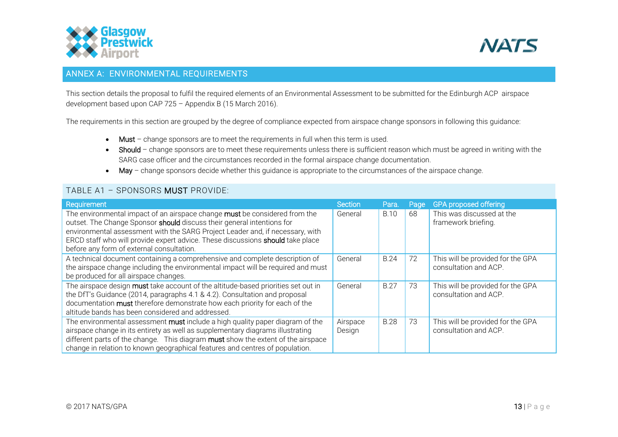



# ANNEX A: ENVIRONMENTAL REQUIREMENTS

This section details the proposal to fulfil the required elements of an Environmental Assessment to be submitted for the Edinburgh ACP airspace development based upon CAP 725 – Appendix B (15 March 2016).

The requirements in this section are grouped by the degree of compliance expected from airspace change sponsors in following this guidance:

- Must change sponsors are to meet the requirements in full when this term is used.
- Should change sponsors are to meet these requirements unless there is sufficient reason which must be agreed in writing with the SARG case officer and the circumstances recorded in the formal airspace change documentation.
- May change sponsors decide whether this guidance is appropriate to the circumstances of the airspace change.

# TABLE A1 – SPONSORS MUST PROVIDE:

<span id="page-12-1"></span><span id="page-12-0"></span>

| Requirement                                                                                                                                                                                                                                                                                                                                                          | Section            | Para.       | Page | <b>GPA proposed offering</b>                               |
|----------------------------------------------------------------------------------------------------------------------------------------------------------------------------------------------------------------------------------------------------------------------------------------------------------------------------------------------------------------------|--------------------|-------------|------|------------------------------------------------------------|
| The environmental impact of an airspace change must be considered from the<br>outset. The Change Sponsor should discuss their general intentions for<br>environmental assessment with the SARG Project Leader and, if necessary, with<br>ERCD staff who will provide expert advice. These discussions should take place<br>before any form of external consultation. | General            | <b>B.10</b> | 68   | This was discussed at the<br>framework briefing.           |
| A technical document containing a comprehensive and complete description of<br>the airspace change including the environmental impact will be required and must<br>be produced for all airspace changes.                                                                                                                                                             | General            | <b>B.24</b> | 72   | This will be provided for the GPA<br>consultation and ACP. |
| The airspace design must take account of the altitude-based priorities set out in<br>the DfT's Guidance (2014, paragraphs 4.1 & 4.2). Consultation and proposal<br>documentation must therefore demonstrate how each priority for each of the<br>altitude bands has been considered and addressed.                                                                   | General            | <b>B.27</b> | 73   | This will be provided for the GPA<br>consultation and ACP. |
| The environmental assessment must include a high quality paper diagram of the<br>airspace change in its entirety as well as supplementary diagrams illustrating<br>different parts of the change. This diagram must show the extent of the airspace<br>change in relation to known geographical features and centres of population.                                  | Airspace<br>Design | <b>B.28</b> | 73   | This will be provided for the GPA<br>consultation and ACP. |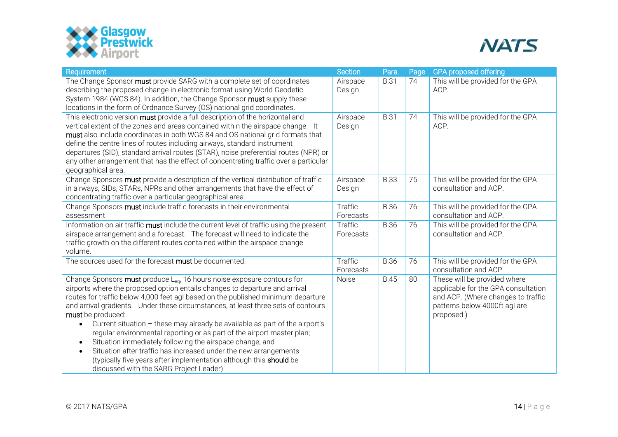



| Requirement                                                                                                                                                                                                                                                                                                                                                                                                                                                                                                                                                                                                                                                                                                                                                                                           | <b>Section</b>              | Para.       | Page | <b>GPA proposed offering</b>                                                                                                                             |
|-------------------------------------------------------------------------------------------------------------------------------------------------------------------------------------------------------------------------------------------------------------------------------------------------------------------------------------------------------------------------------------------------------------------------------------------------------------------------------------------------------------------------------------------------------------------------------------------------------------------------------------------------------------------------------------------------------------------------------------------------------------------------------------------------------|-----------------------------|-------------|------|----------------------------------------------------------------------------------------------------------------------------------------------------------|
| The Change Sponsor must provide SARG with a complete set of coordinates<br>describing the proposed change in electronic format using World Geodetic<br>System 1984 (WGS 84). In addition, the Change Sponsor must supply these<br>locations in the form of Ordnance Survey (OS) national grid coordinates.                                                                                                                                                                                                                                                                                                                                                                                                                                                                                            | Airspace<br>Design          | <b>B.31</b> | 74   | This will be provided for the GPA<br>ACP.                                                                                                                |
| This electronic version must provide a full description of the horizontal and<br>vertical extent of the zones and areas contained within the airspace change. It<br>must also include coordinates in both WGS 84 and OS national grid formats that<br>define the centre lines of routes including airways, standard instrument<br>departures (SID), standard arrival routes (STAR), noise preferential routes (NPR) or<br>any other arrangement that has the effect of concentrating traffic over a particular<br>geographical area.                                                                                                                                                                                                                                                                  | Airspace<br>Design          | <b>B.31</b> | 74   | This will be provided for the GPA<br>ACP.                                                                                                                |
| Change Sponsors must provide a description of the vertical distribution of traffic<br>in airways, SIDs, STARs, NPRs and other arrangements that have the effect of<br>concentrating traffic over a particular geographical area.                                                                                                                                                                                                                                                                                                                                                                                                                                                                                                                                                                      | Airspace<br>Design          | <b>B.33</b> | 75   | This will be provided for the GPA<br>consultation and ACP.                                                                                               |
| Change Sponsors must include traffic forecasts in their environmental<br>assessment.                                                                                                                                                                                                                                                                                                                                                                                                                                                                                                                                                                                                                                                                                                                  | <b>Traffic</b><br>Forecasts | <b>B.36</b> | 76   | This will be provided for the GPA<br>consultation and ACP.                                                                                               |
| Information on air traffic must include the current level of traffic using the present<br>airspace arrangement and a forecast. The forecast will need to indicate the<br>traffic growth on the different routes contained within the airspace change<br>volume.                                                                                                                                                                                                                                                                                                                                                                                                                                                                                                                                       | Traffic<br>Forecasts        | <b>B.36</b> | 76   | This will be provided for the GPA<br>consultation and ACP.                                                                                               |
| The sources used for the forecast must be documented.                                                                                                                                                                                                                                                                                                                                                                                                                                                                                                                                                                                                                                                                                                                                                 | Traffic<br>Forecasts        | <b>B.36</b> | 76   | This will be provided for the GPA<br>consultation and ACP.                                                                                               |
| Change Sponsors must produce L <sub>eq</sub> , 16 hours noise exposure contours for<br>airports where the proposed option entails changes to departure and arrival<br>routes for traffic below 4,000 feet agl based on the published minimum departure<br>and arrival gradients. Under these circumstances, at least three sets of contours<br>must be produced:<br>Current situation - these may already be available as part of the airport's<br>$\bullet$<br>regular environmental reporting or as part of the airport master plan;<br>Situation immediately following the airspace change; and<br>$\bullet$<br>Situation after traffic has increased under the new arrangements<br>(typically five years after implementation although this should be<br>discussed with the SARG Project Leader). | Noise                       | <b>B.45</b> | 80   | These will be provided where<br>applicable for the GPA consultation<br>and ACP. (Where changes to traffic<br>patterns below 4000ft agl are<br>proposed.) |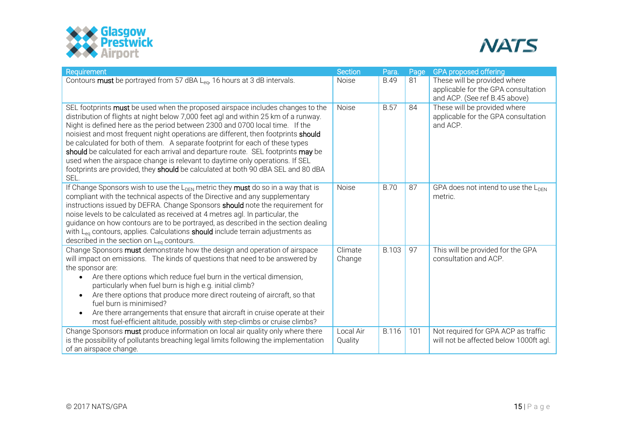



| Requirement                                                                                                                                                                                                                                                                                                                                                                                                                                                                                                                                                                                                                                                                                | Section              | Para.        | Page | <b>GPA proposed offering</b>                                                                         |
|--------------------------------------------------------------------------------------------------------------------------------------------------------------------------------------------------------------------------------------------------------------------------------------------------------------------------------------------------------------------------------------------------------------------------------------------------------------------------------------------------------------------------------------------------------------------------------------------------------------------------------------------------------------------------------------------|----------------------|--------------|------|------------------------------------------------------------------------------------------------------|
| Contours must be portrayed from 57 dBA L <sub>ea</sub> , 16 hours at 3 dB intervals.                                                                                                                                                                                                                                                                                                                                                                                                                                                                                                                                                                                                       | <b>Noise</b>         | <b>B.49</b>  | 81   | These will be provided where<br>applicable for the GPA consultation<br>and ACP. (See ref B.45 above) |
| SEL footprints must be used when the proposed airspace includes changes to the<br>distribution of flights at night below 7,000 feet agl and within 25 km of a runway.<br>Night is defined here as the period between 2300 and 0700 local time. If the<br>noisiest and most frequent night operations are different, then footprints should<br>be calculated for both of them. A separate footprint for each of these types<br>should be calculated for each arrival and departure route. SEL footprints may be<br>used when the airspace change is relevant to daytime only operations. If SEL<br>footprints are provided, they should be calculated at both 90 dBA SEL and 80 dBA<br>SEL. | Noise                | <b>B.57</b>  | 84   | These will be provided where<br>applicable for the GPA consultation<br>and ACP.                      |
| If Change Sponsors wish to use the $L_{DEN}$ metric they <b>must</b> do so in a way that is<br>compliant with the technical aspects of the Directive and any supplementary<br>instructions issued by DEFRA. Change Sponsors should note the requirement for<br>noise levels to be calculated as received at 4 metres agl. In particular, the<br>guidance on how contours are to be portrayed, as described in the section dealing<br>with L <sub>eq</sub> contours, applies. Calculations <b>should</b> include terrain adjustments as<br>described in the section on $L_{eq}$ contours.                                                                                                   | Noise                | <b>B.70</b>  | 87   | GPA does not intend to use the $L_{\text{DFN}}$<br>metric.                                           |
| Change Sponsors must demonstrate how the design and operation of airspace<br>will impact on emissions. The kinds of questions that need to be answered by<br>the sponsor are:<br>Are there options which reduce fuel burn in the vertical dimension,<br>particularly when fuel burn is high e.g. initial climb?<br>Are there options that produce more direct routeing of aircraft, so that<br>$\bullet$<br>fuel burn is minimised?<br>Are there arrangements that ensure that aircraft in cruise operate at their<br>most fuel-efficient altitude, possibly with step-climbs or cruise climbs?                                                                                            | Climate<br>Change    | <b>B.103</b> | 97   | This will be provided for the GPA<br>consultation and ACP.                                           |
| Change Sponsors must produce information on local air quality only where there<br>is the possibility of pollutants breaching legal limits following the implementation<br>of an airspace change.                                                                                                                                                                                                                                                                                                                                                                                                                                                                                           | Local Air<br>Quality | <b>B.116</b> | 101  | Not required for GPA ACP as traffic<br>will not be affected below 1000ft agl.                        |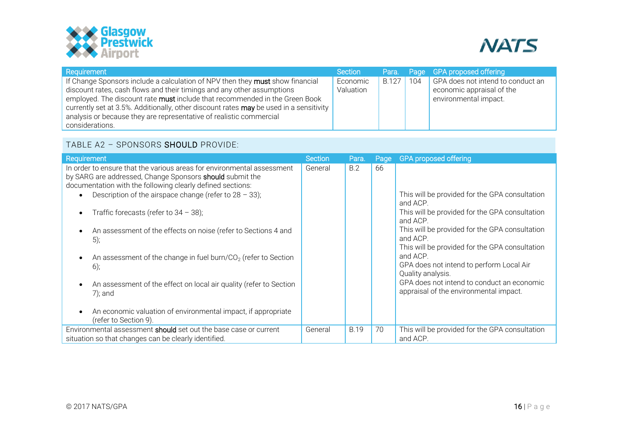



| Requirement                                                                                                                                                                                                                                                                                                                                                                                                                | Section               |              |     | Para. Page GPA proposed offering                                                        |
|----------------------------------------------------------------------------------------------------------------------------------------------------------------------------------------------------------------------------------------------------------------------------------------------------------------------------------------------------------------------------------------------------------------------------|-----------------------|--------------|-----|-----------------------------------------------------------------------------------------|
| If Change Sponsors include a calculation of NPV then they must show financial<br>discount rates, cash flows and their timings and any other assumptions<br>employed. The discount rate must include that recommended in the Green Book<br>currently set at 3.5%. Additionally, other discount rates may be used in a sensitivity<br>analysis or because they are representative of realistic commercial<br>considerations. | Economic<br>Valuation | <b>B.127</b> | 104 | GPA does not intend to conduct an<br>economic appraisal of the<br>environmental impact. |

# TABLE A2 – SPONSORS SHOULD PROVIDE:

<span id="page-15-0"></span>

| Requirement                                                                                                                                                                                                                                                                                                                                                                                                                                                                                                                                                                                                                                                | Section | Para.       | Page | <b>GPA proposed offering</b>                                                                                                                                                                                                                                                                                                                                                                                  |
|------------------------------------------------------------------------------------------------------------------------------------------------------------------------------------------------------------------------------------------------------------------------------------------------------------------------------------------------------------------------------------------------------------------------------------------------------------------------------------------------------------------------------------------------------------------------------------------------------------------------------------------------------------|---------|-------------|------|---------------------------------------------------------------------------------------------------------------------------------------------------------------------------------------------------------------------------------------------------------------------------------------------------------------------------------------------------------------------------------------------------------------|
| In order to ensure that the various areas for environmental assessment<br>by SARG are addressed, Change Sponsors <b>should</b> submit the<br>documentation with the following clearly defined sections:<br>Description of the airspace change (refer to $28 - 33$ );<br>Traffic forecasts (refer to $34 - 38$ );<br>An assessment of the effects on noise (refer to Sections 4 and<br>$(5)$ ;<br>An assessment of the change in fuel burn/ $CO2$ (refer to Section<br>$6)$ ;<br>An assessment of the effect on local air quality (refer to Section<br>$7$ ); and<br>An economic valuation of environmental impact, if appropriate<br>(refer to Section 9). | General | B.2         | 66   | This will be provided for the GPA consultation<br>and ACP.<br>This will be provided for the GPA consultation<br>and ACP.<br>This will be provided for the GPA consultation<br>and ACP.<br>This will be provided for the GPA consultation<br>and ACP.<br>GPA does not intend to perform Local Air<br>Quality analysis.<br>GPA does not intend to conduct an economic<br>appraisal of the environmental impact. |
| Environmental assessment should set out the base case or current<br>situation so that changes can be clearly identified.                                                                                                                                                                                                                                                                                                                                                                                                                                                                                                                                   | General | <b>B.19</b> | 70   | This will be provided for the GPA consultation<br>and ACP.                                                                                                                                                                                                                                                                                                                                                    |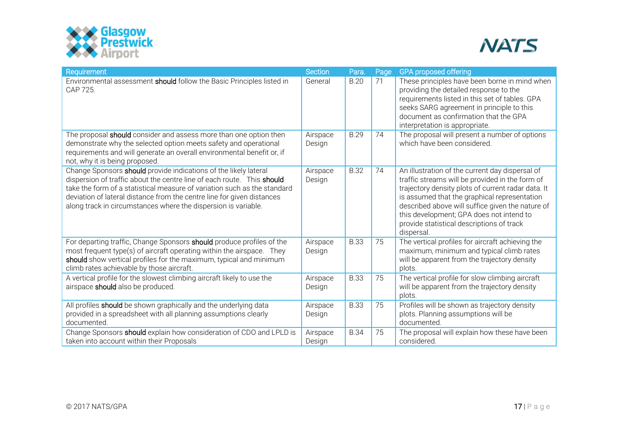



| Requirement                                                                                                                                                                                                                                                                                                                                                        | Section            | Para.       | Page | <b>GPA proposed offering</b>                                                                                                                                                                                                                                                                                                                                        |
|--------------------------------------------------------------------------------------------------------------------------------------------------------------------------------------------------------------------------------------------------------------------------------------------------------------------------------------------------------------------|--------------------|-------------|------|---------------------------------------------------------------------------------------------------------------------------------------------------------------------------------------------------------------------------------------------------------------------------------------------------------------------------------------------------------------------|
| Environmental assessment should follow the Basic Principles listed in<br>CAP 725.                                                                                                                                                                                                                                                                                  | General            | <b>B.20</b> | 71   | These principles have been borne in mind when<br>providing the detailed response to the<br>requirements listed in this set of tables. GPA<br>seeks SARG agreement in principle to this<br>document as confirmation that the GPA<br>interpretation is appropriate.                                                                                                   |
| The proposal should consider and assess more than one option then<br>demonstrate why the selected option meets safety and operational<br>requirements and will generate an overall environmental benefit or, if<br>not, why it is being proposed.                                                                                                                  | Airspace<br>Design | <b>B.29</b> | 74   | The proposal will present a number of options<br>which have been considered.                                                                                                                                                                                                                                                                                        |
| Change Sponsors should provide indications of the likely lateral<br>dispersion of traffic about the centre line of each route. This should<br>take the form of a statistical measure of variation such as the standard<br>deviation of lateral distance from the centre line for given distances<br>along track in circumstances where the dispersion is variable. | Airspace<br>Design | <b>B.32</b> | 74   | An illustration of the current day dispersal of<br>traffic streams will be provided in the form of<br>trajectory density plots of current radar data. It<br>is assumed that the graphical representation<br>described above will suffice given the nature of<br>this development; GPA does not intend to<br>provide statistical descriptions of track<br>dispersal. |
| For departing traffic, Change Sponsors should produce profiles of the<br>most frequent type(s) of aircraft operating within the airspace. They<br>should show vertical profiles for the maximum, typical and minimum<br>climb rates achievable by those aircraft.                                                                                                  | Airspace<br>Design | <b>B.33</b> | 75   | The vertical profiles for aircraft achieving the<br>maximum, minimum and typical climb rates<br>will be apparent from the trajectory density<br>plots.                                                                                                                                                                                                              |
| A vertical profile for the slowest climbing aircraft likely to use the<br>airspace should also be produced.                                                                                                                                                                                                                                                        | Airspace<br>Design | <b>B.33</b> | 75   | The vertical profile for slow climbing aircraft<br>will be apparent from the trajectory density<br>plots.                                                                                                                                                                                                                                                           |
| All profiles should be shown graphically and the underlying data<br>provided in a spreadsheet with all planning assumptions clearly<br>documented.                                                                                                                                                                                                                 | Airspace<br>Design | <b>B.33</b> | 75   | Profiles will be shown as trajectory density<br>plots. Planning assumptions will be<br>documented.                                                                                                                                                                                                                                                                  |
| Change Sponsors should explain how consideration of CDO and LPLD is<br>taken into account within their Proposals                                                                                                                                                                                                                                                   | Airspace<br>Design | <b>B.34</b> | 75   | The proposal will explain how these have been<br>considered.                                                                                                                                                                                                                                                                                                        |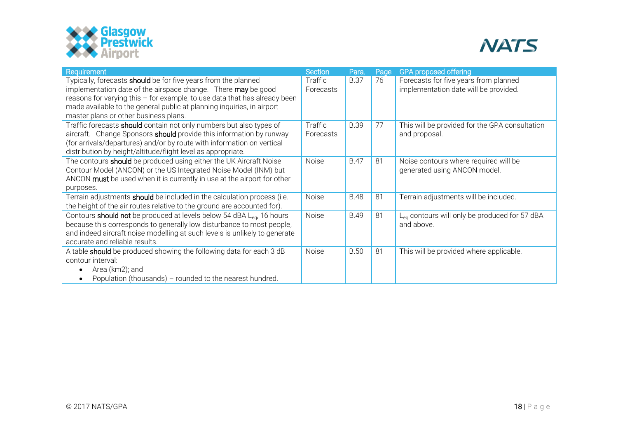



| Requirement                                                                                                                                                                                                                                                                          | <b>Section</b>              | Para.       | Page | <b>GPA proposed offering</b>                                                   |
|--------------------------------------------------------------------------------------------------------------------------------------------------------------------------------------------------------------------------------------------------------------------------------------|-----------------------------|-------------|------|--------------------------------------------------------------------------------|
| Typically, forecasts should be for five years from the planned<br>implementation date of the airspace change. There may be good<br>reasons for varying this - for example, to use data that has already been                                                                         | <b>Traffic</b><br>Forecasts | <b>B.37</b> | 76   | Forecasts for five years from planned<br>implementation date will be provided. |
| made available to the general public at planning inquiries, in airport<br>master plans or other business plans.                                                                                                                                                                      |                             |             |      |                                                                                |
| Traffic forecasts should contain not only numbers but also types of<br>aircraft. Change Sponsors should provide this information by runway<br>(for arrivals/departures) and/or by route with information on vertical<br>distribution by height/altitude/flight level as appropriate. | Traffic<br>Forecasts        | <b>B.39</b> | 77   | This will be provided for the GPA consultation<br>and proposal.                |
| The contours should be produced using either the UK Aircraft Noise<br>Contour Model (ANCON) or the US Integrated Noise Model (INM) but<br>ANCON must be used when it is currently in use at the airport for other<br>purposes.                                                       | Noise                       | <b>B.47</b> | 81   | Noise contours where required will be<br>generated using ANCON model.          |
| Terrain adjustments should be included in the calculation process (i.e.<br>the height of the air routes relative to the ground are accounted for).                                                                                                                                   | Noise                       | <b>B.48</b> | 81   | Terrain adjustments will be included.                                          |
| Contours should not be produced at levels below 54 dBA Lea, 16 hours<br>because this corresponds to generally low disturbance to most people,<br>and indeed aircraft noise modelling at such levels is unlikely to generate<br>accurate and reliable results.                        | Noise                       | <b>B.49</b> | 81   | L <sub>ea</sub> contours will only be produced for 57 dBA<br>and above.        |
| A table should be produced showing the following data for each 3 dB<br>contour interval:<br>Area (km2); and<br>Population (thousands) - rounded to the nearest hundred.                                                                                                              | Noise                       | <b>B.50</b> | 81   | This will be provided where applicable.                                        |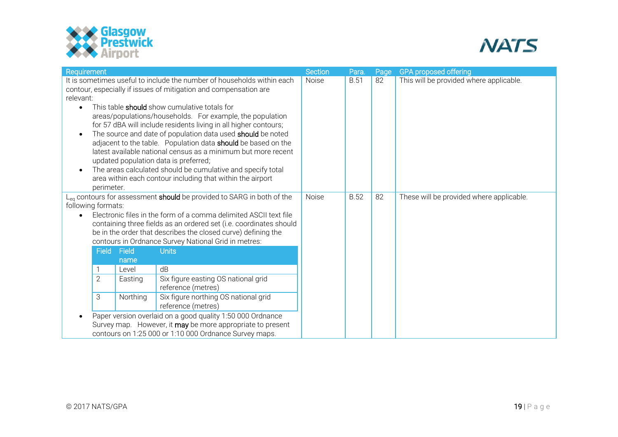



| Requirement                                                                                                                                                                                                                                                                                                                                                                                                                                                                                                                                                                                                                                                                                                                                                                                                | Section | Para.       | Page | <b>GPA</b> proposed offering             |
|------------------------------------------------------------------------------------------------------------------------------------------------------------------------------------------------------------------------------------------------------------------------------------------------------------------------------------------------------------------------------------------------------------------------------------------------------------------------------------------------------------------------------------------------------------------------------------------------------------------------------------------------------------------------------------------------------------------------------------------------------------------------------------------------------------|---------|-------------|------|------------------------------------------|
| It is sometimes useful to include the number of households within each<br>contour, especially if issues of mitigation and compensation are<br>relevant:<br>This table <b>should</b> show cumulative totals for<br>areas/populations/households. For example, the population<br>for 57 dBA will include residents living in all higher contours;<br>The source and date of population data used should be noted<br>adjacent to the table. Population data should be based on the<br>latest available national census as a minimum but more recent<br>updated population data is preferred;<br>The areas calculated should be cumulative and specify total<br>area within each contour including that within the airport<br>perimeter.                                                                       | Noise   | <b>B.51</b> | 82   | This will be provided where applicable.  |
| L <sub>ea</sub> contours for assessment should be provided to SARG in both of the<br>following formats:<br>Electronic files in the form of a comma delimited ASCII text file<br>containing three fields as an ordered set (i.e. coordinates should<br>be in the order that describes the closed curve) defining the<br>contours in Ordnance Survey National Grid in metres:<br><b>Field</b><br>Field<br><b>Units</b><br>name<br>dB<br>Level<br>$\overline{2}$<br>Six figure easting OS national grid<br>Easting<br>reference (metres)<br>Northing<br>Six figure northing OS national grid<br>3<br>reference (metres)<br>Paper version overlaid on a good quality 1:50 000 Ordnance<br>Survey map. However, it may be more appropriate to present<br>contours on 1:25 000 or 1:10 000 Ordnance Survey maps. | Noise   | <b>B.52</b> | 82   | These will be provided where applicable. |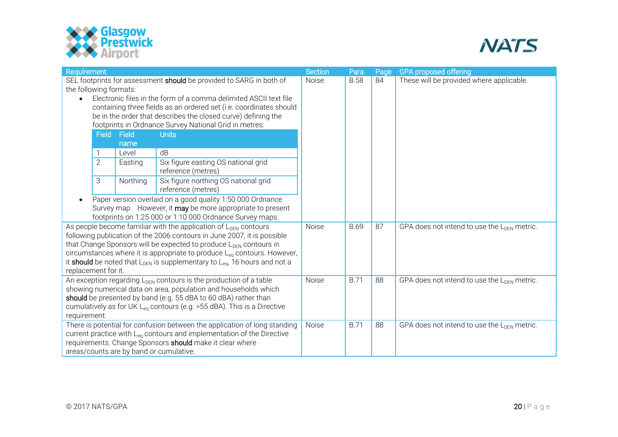



| Requirement<br><b>Section</b>                                               |                                                                                                                                                                      |                                         |                                                                               |       | Para.                                                   | Page | <b>GPA proposed offering</b>                            |
|-----------------------------------------------------------------------------|----------------------------------------------------------------------------------------------------------------------------------------------------------------------|-----------------------------------------|-------------------------------------------------------------------------------|-------|---------------------------------------------------------|------|---------------------------------------------------------|
| SEL footprints for assessment should be provided to SARG in both of         |                                                                                                                                                                      |                                         |                                                                               |       | <b>B.58</b>                                             | 84   | These will be provided where applicable.                |
| the following formats:                                                      |                                                                                                                                                                      |                                         |                                                                               |       |                                                         |      |                                                         |
| Electronic files in the form of a comma delimited ASCII text file           |                                                                                                                                                                      |                                         |                                                                               |       |                                                         |      |                                                         |
|                                                                             |                                                                                                                                                                      |                                         | containing three fields as an ordered set (i.e. coordinates should            |       |                                                         |      |                                                         |
| be in the order that describes the closed curve) defining the               |                                                                                                                                                                      |                                         |                                                                               |       |                                                         |      |                                                         |
|                                                                             | footprints in Ordnance Survey National Grid in metres:<br>Field Field<br><b>Units</b>                                                                                |                                         |                                                                               |       |                                                         |      |                                                         |
|                                                                             |                                                                                                                                                                      | name                                    |                                                                               |       |                                                         |      |                                                         |
|                                                                             |                                                                                                                                                                      | Level                                   | dB                                                                            |       |                                                         |      |                                                         |
|                                                                             | $\overline{2}$                                                                                                                                                       | Easting                                 | Six figure easting OS national grid                                           |       |                                                         |      |                                                         |
|                                                                             |                                                                                                                                                                      |                                         | reference (metres)                                                            |       |                                                         |      |                                                         |
|                                                                             | 3                                                                                                                                                                    | Northing                                | Six figure northing OS national grid                                          |       |                                                         |      |                                                         |
|                                                                             |                                                                                                                                                                      |                                         | reference (metres)                                                            |       |                                                         |      |                                                         |
| Paper version overlaid on a good quality 1:50 000 Ordnance                  |                                                                                                                                                                      |                                         |                                                                               |       |                                                         |      |                                                         |
| Survey map. However, it may be more appropriate to present                  |                                                                                                                                                                      |                                         |                                                                               |       |                                                         |      |                                                         |
|                                                                             | footprints on 1:25 000 or 1:10 000 Ordnance Survey maps.                                                                                                             |                                         |                                                                               |       |                                                         |      |                                                         |
| As people become familiar with the application of $L_{\text{DFN}}$ contours |                                                                                                                                                                      |                                         |                                                                               | Noise | <b>B.69</b>                                             | 87   | GPA does not intend to use the $L_{\text{DFN}}$ metric. |
| following publication of the 2006 contours in June 2007, it is possible     |                                                                                                                                                                      |                                         |                                                                               |       |                                                         |      |                                                         |
|                                                                             | that Change Sponsors will be expected to produce $L_{\text{DFN}}$ contours in<br>circumstances where it is appropriate to produce L <sub>eq</sub> contours. However, |                                         |                                                                               |       |                                                         |      |                                                         |
|                                                                             | it should be noted that $L_{\text{DEN}}$ is supplementary to $L_{\text{eq}}$ , 16 hours and not a                                                                    |                                         |                                                                               |       |                                                         |      |                                                         |
| replacement for it.                                                         |                                                                                                                                                                      |                                         |                                                                               |       |                                                         |      |                                                         |
|                                                                             |                                                                                                                                                                      |                                         | An exception regarding L <sub>DEN</sub> contours is the production of a table | Noise | <b>B.71</b>                                             | 88   | GPA does not intend to use the L <sub>DFN</sub> metric. |
|                                                                             | showing numerical data on area, population and households which                                                                                                      |                                         |                                                                               |       |                                                         |      |                                                         |
|                                                                             | should be presented by band (e.g. 55 dBA to 60 dBA) rather than                                                                                                      |                                         |                                                                               |       |                                                         |      |                                                         |
|                                                                             | cumulatively as for UK $L_{eq}$ contours (e.g. >55 dBA). This is a Directive                                                                                         |                                         |                                                                               |       |                                                         |      |                                                         |
| requirement.                                                                |                                                                                                                                                                      |                                         |                                                                               |       |                                                         |      |                                                         |
|                                                                             | There is potential for confusion between the application of long standing                                                                                            | Noise                                   | <b>B.71</b>                                                                   | 88    | GPA does not intend to use the L <sub>DEN</sub> metric. |      |                                                         |
|                                                                             | current practice with L <sub>eq</sub> contours and implementation of the Directive                                                                                   |                                         |                                                                               |       |                                                         |      |                                                         |
|                                                                             | requirements. Change Sponsors should make it clear where                                                                                                             |                                         |                                                                               |       |                                                         |      |                                                         |
|                                                                             |                                                                                                                                                                      | areas/counts are by band or cumulative. |                                                                               |       |                                                         |      |                                                         |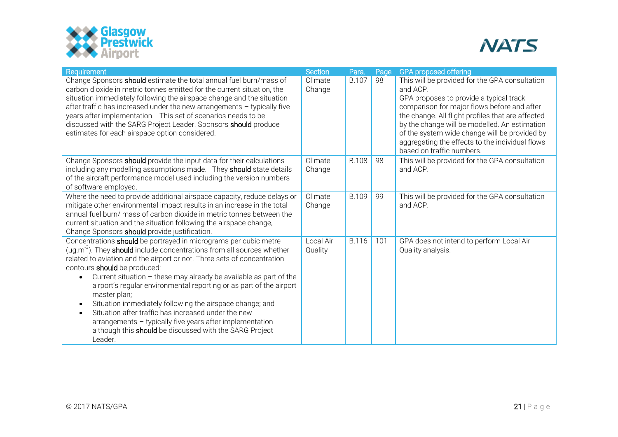



| Requirement                                                                                                                                                                                                                                                                                                                                                                                                                                                                                                                                                                                                                                                                                                | <b>Section</b>       | Para.        | Page | <b>GPA proposed offering</b>                                                                                                                                                                                                                                                                                                                                                                |
|------------------------------------------------------------------------------------------------------------------------------------------------------------------------------------------------------------------------------------------------------------------------------------------------------------------------------------------------------------------------------------------------------------------------------------------------------------------------------------------------------------------------------------------------------------------------------------------------------------------------------------------------------------------------------------------------------------|----------------------|--------------|------|---------------------------------------------------------------------------------------------------------------------------------------------------------------------------------------------------------------------------------------------------------------------------------------------------------------------------------------------------------------------------------------------|
| Change Sponsors should estimate the total annual fuel burn/mass of<br>carbon dioxide in metric tonnes emitted for the current situation, the<br>situation immediately following the airspace change and the situation<br>after traffic has increased under the new arrangements - typically five<br>years after implementation. This set of scenarios needs to be<br>discussed with the SARG Project Leader. Sponsors should produce<br>estimates for each airspace option considered.                                                                                                                                                                                                                     | Climate<br>Change    | <b>B.107</b> | 98   | This will be provided for the GPA consultation<br>and ACP.<br>GPA proposes to provide a typical track<br>comparison for major flows before and after<br>the change. All flight profiles that are affected<br>by the change will be modelled. An estimation<br>of the system wide change will be provided by<br>aggregating the effects to the individual flows<br>based on traffic numbers. |
| Change Sponsors should provide the input data for their calculations<br>including any modelling assumptions made. They should state details<br>of the aircraft performance model used including the version numbers<br>of software employed.                                                                                                                                                                                                                                                                                                                                                                                                                                                               | Climate<br>Change    | <b>B.108</b> | 98   | This will be provided for the GPA consultation<br>and ACP.                                                                                                                                                                                                                                                                                                                                  |
| Where the need to provide additional airspace capacity, reduce delays or<br>mitigate other environmental impact results in an increase in the total<br>annual fuel burn/ mass of carbon dioxide in metric tonnes between the<br>current situation and the situation following the airspace change,<br>Change Sponsors should provide justification.                                                                                                                                                                                                                                                                                                                                                        | Climate<br>Change    | <b>B.109</b> | 99   | This will be provided for the GPA consultation<br>and ACP.                                                                                                                                                                                                                                                                                                                                  |
| Concentrations should be portrayed in micrograms per cubic metre<br>$(\mu g.m^{-3})$ . They should include concentrations from all sources whether<br>related to aviation and the airport or not. Three sets of concentration<br>contours should be produced:<br>Current situation $-$ these may already be available as part of the<br>airport's regular environmental reporting or as part of the airport<br>master plan;<br>Situation immediately following the airspace change; and<br>$\bullet$<br>Situation after traffic has increased under the new<br>$\bullet$<br>arrangements - typically five years after implementation<br>although this should be discussed with the SARG Project<br>Leader. | Local Air<br>Quality | <b>B.116</b> | 101  | GPA does not intend to perform Local Air<br>Quality analysis.                                                                                                                                                                                                                                                                                                                               |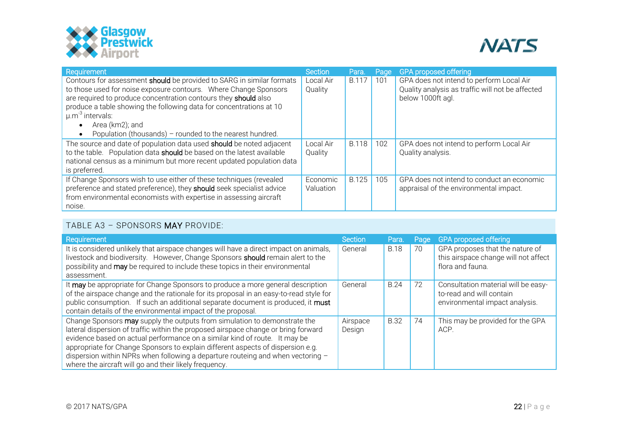



| Requirement                                                           | Section   | Para.        | Page | <b>GPA proposed offering</b>                     |
|-----------------------------------------------------------------------|-----------|--------------|------|--------------------------------------------------|
| Contours for assessment should be provided to SARG in similar formats | Local Air | <b>B.117</b> | 101  | GPA does not intend to perform Local Air         |
| to those used for noise exposure contours. Where Change Sponsors      | Quality   |              |      | Quality analysis as traffic will not be affected |
| are required to produce concentration contours they should also       |           |              |      | below 1000ft agl.                                |
| produce a table showing the following data for concentrations at 10   |           |              |      |                                                  |
| $\mu$ .m <sup>-3</sup> intervals:                                     |           |              |      |                                                  |
| Area (km2); and                                                       |           |              |      |                                                  |
| Population (thousands) - rounded to the nearest hundred.              |           |              |      |                                                  |
| The source and date of population data used should be noted adjacent  | Local Air | <b>B.118</b> | 102  | GPA does not intend to perform Local Air         |
| to the table. Population data should be based on the latest available | Quality   |              |      | Quality analysis.                                |
| national census as a minimum but more recent updated population data  |           |              |      |                                                  |
| is preferred.                                                         |           |              |      |                                                  |
| If Change Sponsors wish to use either of these techniques (revealed   | Economic  | <b>B.125</b> | 105  | GPA does not intend to conduct an economic       |
| preference and stated preference), they should seek specialist advice | Valuation |              |      | appraisal of the environmental impact.           |
| from environmental economists with expertise in assessing aircraft    |           |              |      |                                                  |
| noise.                                                                |           |              |      |                                                  |

# TABLE A3 – SPONSORS MAY PROVIDE:

<span id="page-21-0"></span>

| Requirement                                                                                                                                                                                                                                                                                                                                                                                                                                                                   | Section            | Para.       | Page | <b>GPA proposed offering</b>                                                                      |
|-------------------------------------------------------------------------------------------------------------------------------------------------------------------------------------------------------------------------------------------------------------------------------------------------------------------------------------------------------------------------------------------------------------------------------------------------------------------------------|--------------------|-------------|------|---------------------------------------------------------------------------------------------------|
| It is considered unlikely that airspace changes will have a direct impact on animals,<br>livestock and biodiversity. However, Change Sponsors should remain alert to the<br>possibility and may be required to include these topics in their environmental<br>assessment.                                                                                                                                                                                                     | General            | <b>B.18</b> | 70   | GPA proposes that the nature of<br>this airspace change will not affect<br>flora and fauna.       |
| It may be appropriate for Change Sponsors to produce a more general description<br>of the airspace change and the rationale for its proposal in an easy-to-read style for<br>public consumption. If such an additional separate document is produced, it must<br>contain details of the environmental impact of the proposal.                                                                                                                                                 | General            | <b>B.24</b> | 72   | Consultation material will be easy-<br>to-read and will contain<br>environmental impact analysis. |
| Change Sponsors may supply the outputs from simulation to demonstrate the<br>lateral dispersion of traffic within the proposed airspace change or bring forward<br>evidence based on actual performance on a similar kind of route. It may be<br>appropriate for Change Sponsors to explain different aspects of dispersion e.g.<br>dispersion within NPRs when following a departure routeing and when vectoring -<br>where the aircraft will go and their likely frequency. | Airspace<br>Design | <b>B.32</b> | 74   | This may be provided for the GPA<br>ACP.                                                          |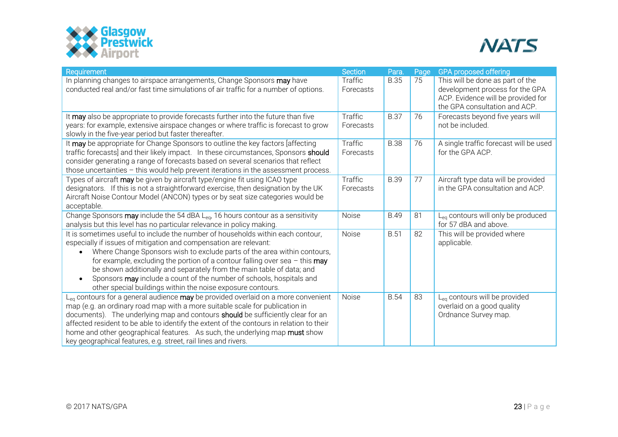



| Requirement                                                                                                                                                                                                                                                                                                                                                                                                                                                                                                                       | <b>Section</b>              | Para.       | Page | <b>GPA proposed offering</b>                                                                                                               |
|-----------------------------------------------------------------------------------------------------------------------------------------------------------------------------------------------------------------------------------------------------------------------------------------------------------------------------------------------------------------------------------------------------------------------------------------------------------------------------------------------------------------------------------|-----------------------------|-------------|------|--------------------------------------------------------------------------------------------------------------------------------------------|
| In planning changes to airspace arrangements, Change Sponsors may have<br>conducted real and/or fast time simulations of air traffic for a number of options.                                                                                                                                                                                                                                                                                                                                                                     | Traffic<br>Forecasts        | <b>B.35</b> | 75   | This will be done as part of the<br>development process for the GPA<br>ACP. Evidence will be provided for<br>the GPA consultation and ACP. |
| It may also be appropriate to provide forecasts further into the future than five<br>years: for example, extensive airspace changes or where traffic is forecast to grow<br>slowly in the five-year period but faster thereafter.                                                                                                                                                                                                                                                                                                 | Traffic<br>Forecasts        | <b>B.37</b> | 76   | Forecasts beyond five years will<br>not be included.                                                                                       |
| It may be appropriate for Change Sponsors to outline the key factors [affecting<br>traffic forecasts] and their likely impact. In these circumstances, Sponsors should<br>consider generating a range of forecasts based on several scenarios that reflect<br>those uncertainties - this would help prevent iterations in the assessment process.                                                                                                                                                                                 | <b>Traffic</b><br>Forecasts | <b>B.38</b> | 76   | A single traffic forecast will be used<br>for the GPA ACP.                                                                                 |
| Types of aircraft may be given by aircraft type/engine fit using ICAO type<br>designators. If this is not a straightforward exercise, then designation by the UK<br>Aircraft Noise Contour Model (ANCON) types or by seat size categories would be<br>acceptable.                                                                                                                                                                                                                                                                 | Traffic<br>Forecasts        | <b>B.39</b> | 77   | Aircraft type data will be provided<br>in the GPA consultation and ACP.                                                                    |
| Change Sponsors may include the 54 dBA Leq, 16 hours contour as a sensitivity<br>analysis but this level has no particular relevance in policy making.                                                                                                                                                                                                                                                                                                                                                                            | Noise                       | <b>B.49</b> | 81   | L <sub>eq</sub> contours will only be produced<br>for 57 dBA and above.                                                                    |
| It is sometimes useful to include the number of households within each contour,<br>especially if issues of mitigation and compensation are relevant:<br>Where Change Sponsors wish to exclude parts of the area within contours,<br>for example, excluding the portion of a contour falling over sea $-$ this may<br>be shown additionally and separately from the main table of data; and<br>Sponsors may include a count of the number of schools, hospitals and<br>other special buildings within the noise exposure contours. | Noise                       | <b>B.51</b> | 82   | This will be provided where<br>applicable.                                                                                                 |
| L <sub>eg</sub> contours for a general audience may be provided overlaid on a more convenient<br>map (e.g. an ordinary road map with a more suitable scale for publication in<br>documents). The underlying map and contours <b>should</b> be sufficiently clear for an<br>affected resident to be able to identify the extent of the contours in relation to their<br>home and other geographical features. As such, the underlying map must show<br>key geographical features, e.g. street, rail lines and rivers.              | Noise                       | <b>B.54</b> | 83   | L <sub>eq</sub> contours will be provided<br>overlaid on a good quality<br>Ordnance Survey map.                                            |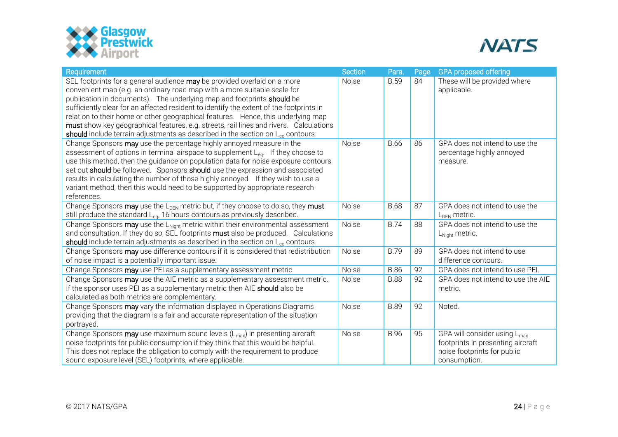



| Requirement                                                                                                                                                                                                                                                                                                                                                                                                                                                                                                                                                                                      | <b>Section</b> | Para.       | Page | <b>GPA proposed offering</b>                                                                                                 |
|--------------------------------------------------------------------------------------------------------------------------------------------------------------------------------------------------------------------------------------------------------------------------------------------------------------------------------------------------------------------------------------------------------------------------------------------------------------------------------------------------------------------------------------------------------------------------------------------------|----------------|-------------|------|------------------------------------------------------------------------------------------------------------------------------|
| SEL footprints for a general audience may be provided overlaid on a more<br>convenient map (e.g. an ordinary road map with a more suitable scale for<br>publication in documents). The underlying map and footprints should be<br>sufficiently clear for an affected resident to identify the extent of the footprints in<br>relation to their home or other geographical features. Hence, this underlying map<br>must show key geographical features, e.g. streets, rail lines and rivers. Calculations<br>should include terrain adjustments as described in the section on $L_{eq}$ contours. | Noise          | <b>B.59</b> | 84   | These will be provided where<br>applicable.                                                                                  |
| Change Sponsors may use the percentage highly annoyed measure in the<br>assessment of options in terminal airspace to supplement L <sub>eg</sub> . If they choose to<br>use this method, then the guidance on population data for noise exposure contours<br>set out should be followed. Sponsors should use the expression and associated<br>results in calculating the number of those highly annoyed. If they wish to use a<br>variant method, then this would need to be supported by appropriate research<br>references.                                                                    | Noise          | <b>B.66</b> | 86   | GPA does not intend to use the<br>percentage highly annoyed<br>measure.                                                      |
| Change Sponsors may use the L <sub>DEN</sub> metric but, if they choose to do so, they must<br>still produce the standard L <sub>eq</sub> , 16 hours contours as previously described.                                                                                                                                                                                                                                                                                                                                                                                                           | Noise          | <b>B.68</b> | 87   | GPA does not intend to use the<br>$L_{DEN}$ metric.                                                                          |
| Change Sponsors may use the L <sub>Night</sub> metric within their environmental assessment<br>and consultation. If they do so, SEL footprints must also be produced. Calculations<br>should include terrain adjustments as described in the section on L <sub>eq</sub> contours.                                                                                                                                                                                                                                                                                                                | Noise          | <b>B.74</b> | 88   | GPA does not intend to use the<br>L <sub>Night</sub> metric.                                                                 |
| Change Sponsors may use difference contours if it is considered that redistribution<br>of noise impact is a potentially important issue.                                                                                                                                                                                                                                                                                                                                                                                                                                                         | <b>Noise</b>   | <b>B.79</b> | 89   | GPA does not intend to use<br>difference contours.                                                                           |
| Change Sponsors may use PEI as a supplementary assessment metric.                                                                                                                                                                                                                                                                                                                                                                                                                                                                                                                                | Noise          | <b>B.86</b> | 92   | GPA does not intend to use PEI.                                                                                              |
| Change Sponsors may use the AIE metric as a supplementary assessment metric.<br>If the sponsor uses PEI as a supplementary metric then AIE should also be<br>calculated as both metrics are complementary.                                                                                                                                                                                                                                                                                                                                                                                       | Noise          | <b>B.88</b> | 92   | GPA does not intend to use the AIE<br>metric.                                                                                |
| Change Sponsors may vary the information displayed in Operations Diagrams<br>providing that the diagram is a fair and accurate representation of the situation<br>portrayed.                                                                                                                                                                                                                                                                                                                                                                                                                     | Noise          | <b>B.89</b> | 92   | Noted.                                                                                                                       |
| Change Sponsors may use maximum sound levels (L <sub>max</sub> ) in presenting aircraft<br>noise footprints for public consumption if they think that this would be helpful.<br>This does not replace the obligation to comply with the requirement to produce<br>sound exposure level (SEL) footprints, where applicable.                                                                                                                                                                                                                                                                       | Noise          | <b>B.96</b> | 95   | GPA will consider using L <sub>max</sub><br>footprints in presenting aircraft<br>noise footprints for public<br>consumption. |